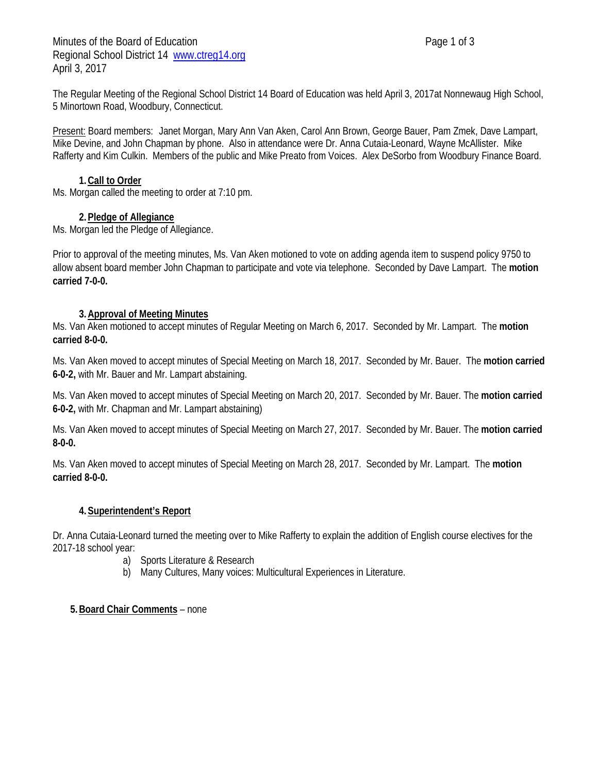Minutes of the Board of Education **Page 1 of 3** Page 1 of 3 Regional School District 14 [www.ctreg14.org](http://www.ctreg14.org/) April 3, 2017

The Regular Meeting of the Regional School District 14 Board of Education was held April 3, 2017at Nonnewaug High School, 5 Minortown Road, Woodbury, Connecticut.

Present: Board members: Janet Morgan, Mary Ann Van Aken, Carol Ann Brown, George Bauer, Pam Zmek, Dave Lampart, Mike Devine, and John Chapman by phone. Also in attendance were Dr. Anna Cutaia-Leonard, Wayne McAllister. Mike Rafferty and Kim Culkin. Members of the public and Mike Preato from Voices. Alex DeSorbo from Woodbury Finance Board.

# **1.Call to Order**

Ms. Morgan called the meeting to order at 7:10 pm.

### **2.Pledge of Allegiance**

Ms. Morgan led the Pledge of Allegiance.

Prior to approval of the meeting minutes, Ms. Van Aken motioned to vote on adding agenda item to suspend policy 9750 to allow absent board member John Chapman to participate and vote via telephone. Seconded by Dave Lampart. The **motion carried 7-0-0.**

#### **3.Approval of Meeting Minutes**

Ms. Van Aken motioned to accept minutes of Regular Meeting on March 6, 2017. Seconded by Mr. Lampart. The **motion carried 8-0-0.**

Ms. Van Aken moved to accept minutes of Special Meeting on March 18, 2017. Seconded by Mr. Bauer. The **motion carried 6-0-2,** with Mr. Bauer and Mr. Lampart abstaining.

Ms. Van Aken moved to accept minutes of Special Meeting on March 20, 2017. Seconded by Mr. Bauer. The **motion carried 6-0-2,** with Mr. Chapman and Mr. Lampart abstaining)

Ms. Van Aken moved to accept minutes of Special Meeting on March 27, 2017. Seconded by Mr. Bauer. The **motion carried 8-0-0.**

Ms. Van Aken moved to accept minutes of Special Meeting on March 28, 2017. Seconded by Mr. Lampart. The **motion carried 8-0-0.**

### **4.Superintendent's Report**

Dr. Anna Cutaia-Leonard turned the meeting over to Mike Rafferty to explain the addition of English course electives for the 2017-18 school year:

- a) Sports Literature & Research
- b) Many Cultures, Many voices: Multicultural Experiences in Literature.

### **5.Board Chair Comments** – none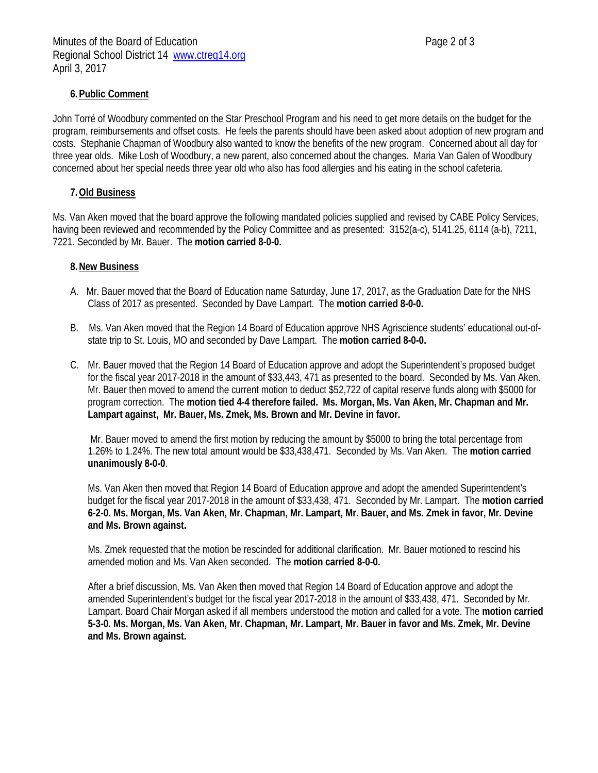# **6.Public Comment**

John Torré of Woodbury commented on the Star Preschool Program and his need to get more details on the budget for the program, reimbursements and offset costs. He feels the parents should have been asked about adoption of new program and costs. Stephanie Chapman of Woodbury also wanted to know the benefits of the new program. Concerned about all day for three year olds. Mike Losh of Woodbury, a new parent, also concerned about the changes. Maria Van Galen of Woodbury concerned about her special needs three year old who also has food allergies and his eating in the school cafeteria.

### **7.Old Business**

Ms. Van Aken moved that the board approve the following mandated policies supplied and revised by CABE Policy Services, having been reviewed and recommended by the Policy Committee and as presented: 3152(a-c), 5141.25, 6114 (a-b), 7211, 7221. Seconded by Mr. Bauer. The **motion carried 8-0-0.**

#### **8.New Business**

- A. Mr. Bauer moved that the Board of Education name Saturday, June 17, 2017, as the Graduation Date for the NHS Class of 2017 as presented. Seconded by Dave Lampart. The **motion carried 8-0-0.**
- B. Ms. Van Aken moved that the Region 14 Board of Education approve NHS Agriscience students' educational out-ofstate trip to St. Louis, MO and seconded by Dave Lampart. The **motion carried 8-0-0.**
- C. Mr. Bauer moved that the Region 14 Board of Education approve and adopt the Superintendent's proposed budget for the fiscal year 2017-2018 in the amount of \$33,443, 471 as presented to the board. Seconded by Ms. Van Aken. Mr. Bauer then moved to amend the current motion to deduct \$52,722 of capital reserve funds along with \$5000 for program correction. The **motion tied 4-4 therefore failed. Ms. Morgan, Ms. Van Aken, Mr. Chapman and Mr. Lampart against, Mr. Bauer, Ms. Zmek, Ms. Brown and Mr. Devine in favor.**

Mr. Bauer moved to amend the first motion by reducing the amount by \$5000 to bring the total percentage from 1.26% to 1.24%. The new total amount would be \$33,438,471. Seconded by Ms. Van Aken. The **motion carried unanimously 8-0-0**.

Ms. Van Aken then moved that Region 14 Board of Education approve and adopt the amended Superintendent's budget for the fiscal year 2017-2018 in the amount of \$33,438, 471. Seconded by Mr. Lampart. The **motion carried 6-2-0. Ms. Morgan, Ms. Van Aken, Mr. Chapman, Mr. Lampart, Mr. Bauer, and Ms. Zmek in favor, Mr. Devine and Ms. Brown against.** 

Ms. Zmek requested that the motion be rescinded for additional clarification. Mr. Bauer motioned to rescind his amended motion and Ms. Van Aken seconded. The **motion carried 8-0-0.** 

After a brief discussion, Ms. Van Aken then moved that Region 14 Board of Education approve and adopt the amended Superintendent's budget for the fiscal year 2017-2018 in the amount of \$33,438, 471. Seconded by Mr. Lampart. Board Chair Morgan asked if all members understood the motion and called for a vote. The **motion carried 5-3-0. Ms. Morgan, Ms. Van Aken, Mr. Chapman, Mr. Lampart, Mr. Bauer in favor and Ms. Zmek, Mr. Devine and Ms. Brown against.**